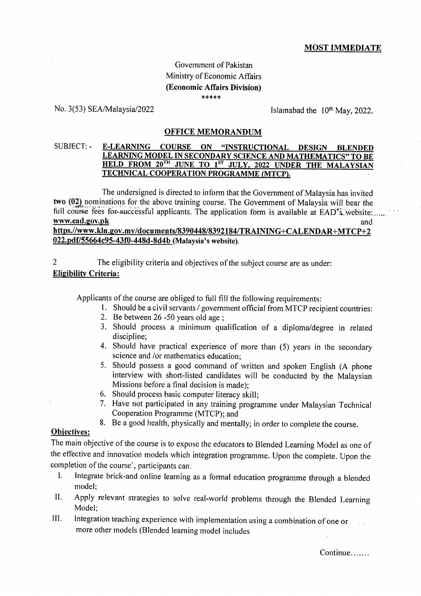### MOST IMMEDIATE

# Government of Pakistan Ministry of Economic Affairs (Economic Affairs Division) \*\*\*\*\*

# No. 3(53) SEA/Malaysia/2022 lslamabad the  $10^{th}$  May, 2022.

### OFFICE MEMORANDUM

#### SUBJECT: - **E-LEARNING COURSE** ON "INSTRUCTIONAL DESIGN BLENDED LEARNING MODEL IN SECONDARY SCIENCE AND MATHEMATICS" TO BE HELD FROM 20<sup>TH</sup> JUNE TO 1<sup>ST</sup> JULY, 2022 UNDER THE MALAYSIAN TECHNICAL COOPERATION PROGRAMME (MTCP).

The undersigned is directed to inform that the Government of Malaysia has invited two (02) nominations for the above training course. The Government of Malaysia will bear the f'ull course fees for"suicessful applicants. The apptication form is available at EADrivilebsite:....-. rwyw.ead.g.ov.pk and

# https.//www.kln.gov.my/documents/8390448/8392184/TRAINING+CALENDAR+MTCP+2 022.pdf/55664c95-43f0-448d-8d4b (Malaysia's website).

2 The eligibility criteria and objectives of the subject course are as under: **Eligibility Criteria:** 

Applicants of the course are obliged to full fill the following requirements:

- <sup>I</sup>. Should be a civil servants / government official from MTCP recipient countries:
- 2. Be between 26 -50 years old age ;
- 3. Should process a minimum qualification of a diploma/degree in related discipline;
- 4. Should have practical experience of more than (5) years in the secondary science and /or mathernatics education;
- 5. Should possess a good command of written and spoken English (A phone interview with short-listed candidates will be conducted by the Malaysian Missions before a final decision is made);<br>6. Should process basic computer literacy skill;
- 
- 7. Have not participated in any training programme under Malaysian Technical Cooperation Programme (MTCp); and
- 8. Be a good health, physically and mentally; in order to complete the course.

### Obiectives:

The main objective of the course is to expose the educators to Blended Learning Model as one of the effective and innovation models which integration programme. Upon the complete. Upon the completion of the course', participants can.

- I. Integrate brick-and online learning as a formal education programme through a blended model:
- II. Apply relevant strategies to solve real-world problerns through the Blended Learning Model;
- III. Integration teaching experience with implementation using a combination of one or more other models (BIended learning model includes